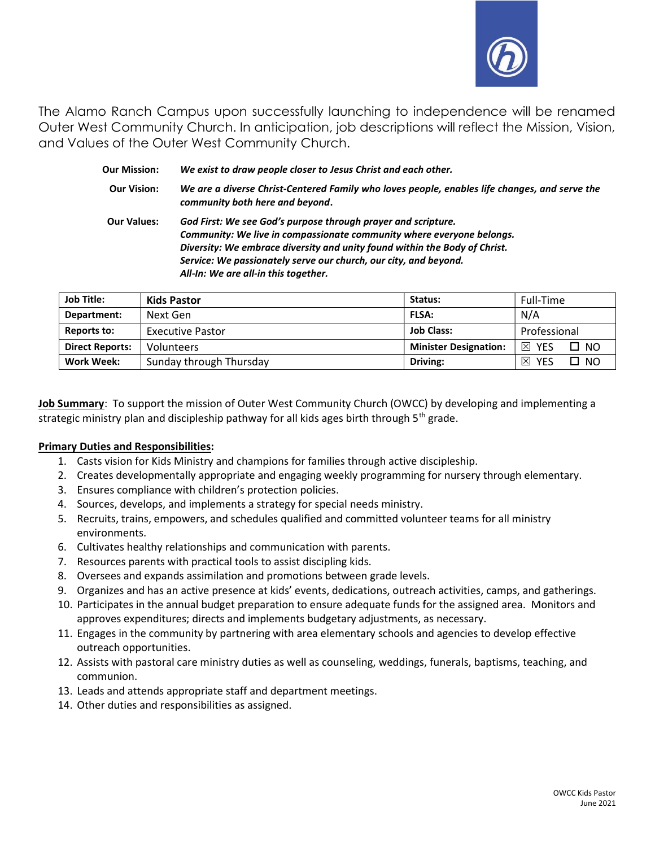

The Alamo Ranch Campus upon successfully launching to independence will be renamed Outer West Community Church. In anticipation, job descriptions will reflect the Mission, Vision, and Values of the Outer West Community Church.

| <b>Our Mission:</b> | We exist to draw people closer to Jesus Christ and each other.                                                                                                                                                                                                                                                                   |  |
|---------------------|----------------------------------------------------------------------------------------------------------------------------------------------------------------------------------------------------------------------------------------------------------------------------------------------------------------------------------|--|
| <b>Our Vision:</b>  | We are a diverse Christ-Centered Family who loves people, enables life changes, and serve the<br>community both here and beyond.                                                                                                                                                                                                 |  |
| <b>Our Values:</b>  | God First: We see God's purpose through prayer and scripture.<br>Community: We live in compassionate community where everyone belongs.<br>Diversity: We embrace diversity and unity found within the Body of Christ.<br>Service: We passionately serve our church, our city, and beyond.<br>All-In: We are all-in this together. |  |

| <b>Job Title:</b>      | <b>Kids Pastor</b>      | Status:                      | Full-Time              |
|------------------------|-------------------------|------------------------------|------------------------|
| Department:            | Next Gen                | <b>FLSA:</b>                 | N/A                    |
| Reports to:            | <b>Executive Pastor</b> | <b>Job Class:</b>            | Professional           |
| <b>Direct Reports:</b> | <b>Volunteers</b>       | <b>Minister Designation:</b> | 冈<br><b>NO</b><br>YES  |
| Work Week:             | Sunday through Thursday | Driving:                     | ⊠<br>NO.<br><b>YES</b> |

Job Summary: To support the mission of Outer West Community Church (OWCC) by developing and implementing a strategic ministry plan and discipleship pathway for all kids ages birth through  $5<sup>th</sup>$  grade.

## Primary Duties and Responsibilities:

- 1. Casts vision for Kids Ministry and champions for families through active discipleship.
- 2. Creates developmentally appropriate and engaging weekly programming for nursery through elementary.
- 3. Ensures compliance with children's protection policies.
- 4. Sources, develops, and implements a strategy for special needs ministry.
- 5. Recruits, trains, empowers, and schedules qualified and committed volunteer teams for all ministry environments.
- 6. Cultivates healthy relationships and communication with parents.
- 7. Resources parents with practical tools to assist discipling kids.
- 8. Oversees and expands assimilation and promotions between grade levels.
- 9. Organizes and has an active presence at kids' events, dedications, outreach activities, camps, and gatherings.
- 10. Participates in the annual budget preparation to ensure adequate funds for the assigned area. Monitors and approves expenditures; directs and implements budgetary adjustments, as necessary.
- 11. Engages in the community by partnering with area elementary schools and agencies to develop effective outreach opportunities.
- 12. Assists with pastoral care ministry duties as well as counseling, weddings, funerals, baptisms, teaching, and communion.
- 13. Leads and attends appropriate staff and department meetings.
- 14. Other duties and responsibilities as assigned.